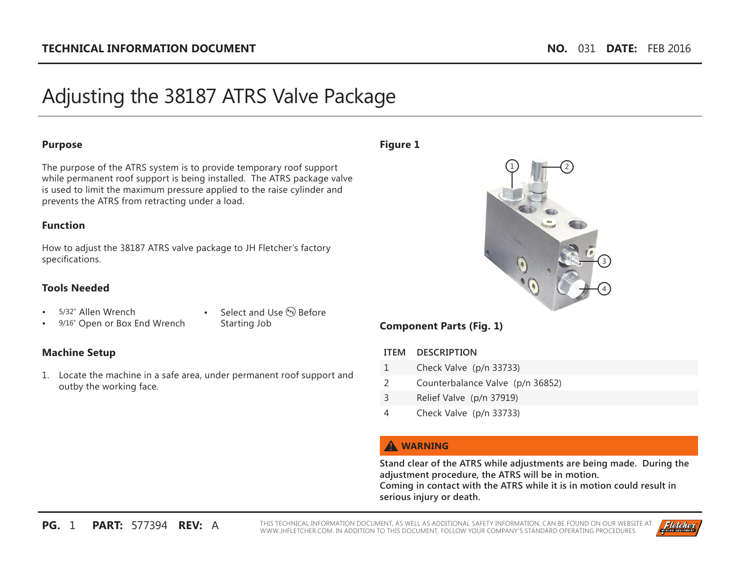# Adjusting the 38187 ATRS Valve Package

#### **Purpose**

The purpose of the ATRS system is to provide temporary roof support while permanent roof support is being installed. The ATRS package valve is used to limit the maximum pressure applied to the raise cylinder and prevents the ATRS from retracting under a load.

## **Function**

How to adjust the 38187 ATRS valve package to JH Fletcher's factory speci fi cations.

## **Tools Needed**

• 5/32" Allen Wrench

9/16" Open or Box End Wrench

• Select and Use  $(P_E)$  Before Starting Job

# **Machine Setup**

1. Locate the machine in a safe area, under permanent roof support and outby the working face.

#### **Figure 1**



# **Component Parts (Fig. 1)**

#### **ITEM DESCRIPTION**

- 1 Check Valve (p/n 33733)
- 2 Counterbalance Valve (p/n 36852)
- 3 Relief Valve (p/n 37919)
- 4 Check Valve (p/n 33733)

# **WARNING**

**Stand clear of the ATRS while adjustments are being made. During the adjustment procedure, the ATRS will be in motion. Coming in contact with the ATRS while it is in motion could result in** 

**serious injury or death.** 

THIS TECHNICAL INFORMATION DOCUMENT, AS WELL AS ADDITIONAL SAFETY INFORMATION, CAN BE FOUND ON OUR WEBSITE AT<br>WWW.JHFLETCHER.COM. IN ADDITION TO THIS DOCUMENT, FOLLOW YOUR COMPANY'S STANDARD OPERATING PROCEDURES.